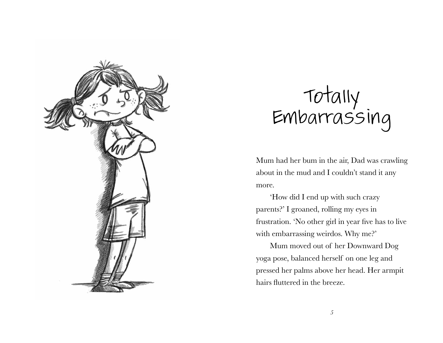



Mum had her bum in the air, Dad was crawling about in the mud and I couldn't stand it any more.

'How did I end up with such crazy parents?' I groaned, rolling my eyes in frustration. 'No other girl in year five has to live with embarrassing weirdos. Why me?'

Mum moved out of her Downward Dog yoga pose, balanced herself on one leg and pressed her palms above her head. Her armpit hairs fluttered in the breeze.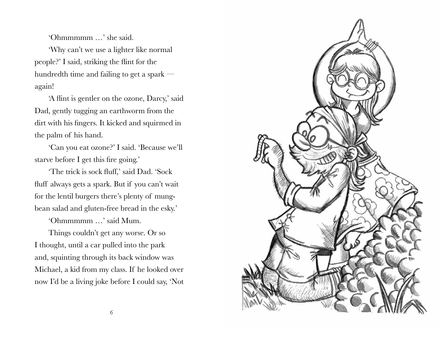'Ohmmmmm …' she said.

'Why can't we use a lighter like normal people?' I said, striking the flint for the hundredth time and failing to get a spark again!

'A flint is gentler on the ozone, Darcy,' said Dad, gently tugging an earthworm from the dirt with his fingers. It kicked and squirmed in the palm of his hand.

'Can you eat ozone?' I said. 'Because we'll starve before I get this fire going.'

'The trick is sock fluff,' said Dad. 'Sock fluff always gets a spark. But if you can't wait for the lentil burgers there's plenty of mungbean salad and gluten-free bread in the esky.'

'Ohmmmmm …' said Mum.

Things couldn't get any worse. Or so I thought, until a car pulled into the park and, squinting through its back window was Michael, a kid from my class. If he looked over now I'd be a living joke before I could say, 'Not

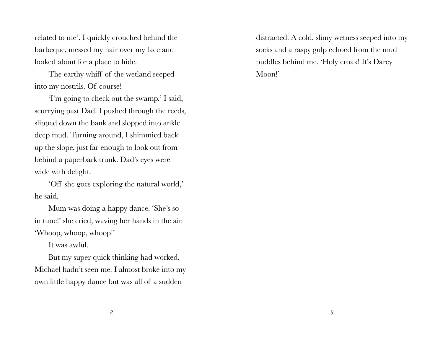related to me'. I quickly crouched behind the barbeque, messed my hair over my face and looked about for a place to hide.

The earthy whiff of the wetland seeped into my nostrils. Of course!

'I'm going to check out the swamp,' I said, scurrying past Dad. I pushed through the reeds, slipped down the bank and slopped into ankle deep mud. Turning around, I shimmied back up the slope, just far enough to look out from behind a paperbark trunk. Dad's eyes were wide with delight.

'Off she goes exploring the natural world,' he said.

Mum was doing a happy dance. 'She's so in tune!' she cried, waving her hands in the air. 'Whoop, whoop, whoop!'

It was awful.

But my super quick thinking had worked. Michael hadn't seen me. I almost broke into my own little happy dance but was all of a sudden

distracted. A cold, slimy wetness seeped into my socks and a raspy gulp echoed from the mud puddles behind me. 'Holy croak! It's Darcy Moon!'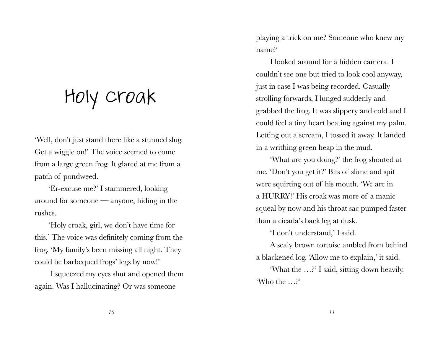## Holy Croak

'Well, don't just stand there like a stunned slug. Get a wiggle on!' The voice seemed to come from a large green frog. It glared at me from a patch of pondweed.

'Er-excuse me?' I stammered, looking around for someone — anyone, hiding in the rushes.

'Holy croak, girl, we don't have time for this.' The voice was definitely coming from the frog. 'My family's been missing all night. They could be barbequed frogs' legs by now!'

I squeezed my eyes shut and opened them again. Was I hallucinating? Or was someone

playing a trick on me? Someone who knew my name?

I looked around for a hidden camera. I couldn't see one but tried to look cool anyway, just in case I was being recorded. Casually strolling forwards, I lunged suddenly and grabbed the frog. It was slippery and cold and I could feel a tiny heart beating against my palm. Letting out a scream, I tossed it away. It landed in a writhing green heap in the mud.

'What are you doing?' the frog shouted at me. 'Don't you get it?' Bits of slime and spit were squirting out of his mouth. We are in a HURRY!' His croak was more of a manic squeal by now and his throat sac pumped faster than a cicada's back leg at dusk.

'I don't understand,' I said.

A scaly brown tortoise ambled from behind a blackened log. 'Allow me to explain,' it said.

'What the ...?' I said, sitting down heavily. 'Who the …?'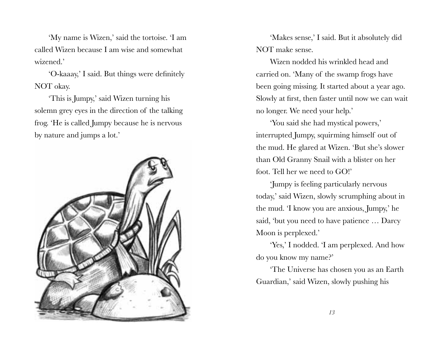'My name is Wizen,' said the tortoise. 'I am called Wizen because I am wise and somewhat wizened.'

'O-kaaay,' I said. But things were definitely NOT okay.

'This is Jumpy,' said Wizen turning his solemn grey eyes in the direction of the talking frog. 'He is called Jumpy because he is nervous by nature and jumps a lot.'



'Makes sense,' I said. But it absolutely did NOT make sense.

Wizen nodded his wrinkled head and carried on. 'Many of the swamp frogs have been going missing. It started about a year ago. Slowly at first, then faster until now we can wait no longer. We need your help.'

'You said she had mystical powers,' interrupted Jumpy, squirming himself out of the mud. He glared at Wizen. 'But she's slower than Old Granny Snail with a blister on her foot. Tell her we need to GO!'

Yumpy is feeling particularly nervous today,' said Wizen, slowly scrumphing about in the mud. 'I know you are anxious, Jumpy,' he said, 'but you need to have patience ... Darcy Moon is perplexed.'

'Yes,' I nodded. 'I am perplexed. And how do you know my name?'

'The Universe has chosen you as an Earth Guardian,' said Wizen, slowly pushing his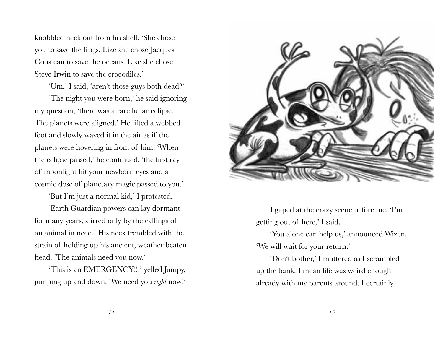knobbled neck out from his shell. 'She chose you to save the frogs. Like she chose Jacques Cousteau to save the oceans. Like she chose Steve Irwin to save the crocodiles.'

'Um,' I said, 'aren't those guys both dead?' 'The night you were born,' he said ignoring my question, 'there was a rare lunar eclipse. The planets were aligned.' He lifted a webbed foot and slowly waved it in the air as if the planets were hovering in front of him. 'When the eclipse passed,' he continued, 'the first ray of moonlight hit your newborn eyes and a cosmic dose of planetary magic passed to you.'

'But I'm just a normal kid,' I protested.

'Earth Guardian powers can lay dormant for many years, stirred only by the callings of an animal in need.' His neck trembled with the strain of holding up his ancient, weather beaten head. 'The animals need you now.'

'This is an EMERGENCY!!!' yelled Jumpy, jumping up and down. 'We need you *right* now!'



I gaped at the crazy scene before me. 'I'm getting out of here,' I said.

'You alone can help us,' announced Wizen. 'We will wait for your return.'

'Don't bother,' I muttered as I scrambled up the bank. I mean life was weird enough already with my parents around. I certainly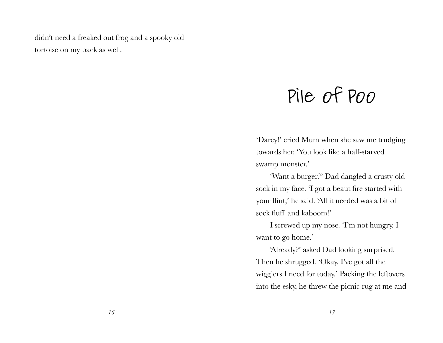didn't need a freaked out frog and a spooky old tortoise on my back as well.

## Pile of Poo

'Darcy!' cried Mum when she saw me trudging towards her. You look like a half-starved swamp monster.'

'Want a burger?' Dad dangled a crusty old sock in my face. 'I got a beaut fire started with your flint,' he said. 'All it needed was a bit of sock fluff and kaboom!'

I screwed up my nose. 'I'm not hungry. I want to go home.'

'Already?' asked Dad looking surprised. Then he shrugged. 'Okay. I've got all the wigglers I need for today.' Packing the leftovers into the esky, he threw the picnic rug at me and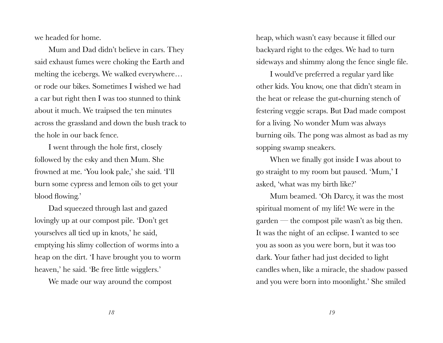we headed for home.

Mum and Dad didn't believe in cars. They said exhaust fumes were choking the Earth and melting the icebergs. We walked everywhere... or rode our bikes. Sometimes I wished we had a car but right then I was too stunned to think about it much. We traipsed the ten minutes across the grassland and down the bush track to the hole in our back fence.

I went through the hole first, closely followed by the esky and then Mum. She frowned at me. 'You look pale,' she said. 'I'll burn some cypress and lemon oils to get your blood flowing.'

Dad squeezed through last and gazed lovingly up at our compost pile. 'Don't get yourselves all tied up in knots,' he said, emptying his slimy collection of worms into a heap on the dirt. Thave brought you to worm heaven,' he said. 'Be free little wigglers.'

We made our way around the compost

heap, which wasn't easy because it filled our backyard right to the edges. We had to turn sideways and shimmy along the fence single file.

I would've preferred a regular yard like other kids. You know, one that didn't steam in the heat or release the gut-churning stench of  $\Lambda$  festering veggie scraps. But Dad made compost for a living. No wonder Mum was always burning oils. The pong was almost as bad as my sopping swamp sneakers.

When we finally got inside I was about to go straight to my room but paused. 'Mum,' I asked, 'what was my birth like?'

Mum beamed. 'Oh Darcy, it was the most spiritual moment of my life! We were in the garden — the compost pile wasn't as big then. It was the night of an eclipse. I wanted to see you as soon as you were born, but it was too dark. Your father had just decided to light candles when, like a miracle, the shadow passed and you were born into moonlight.' She smiled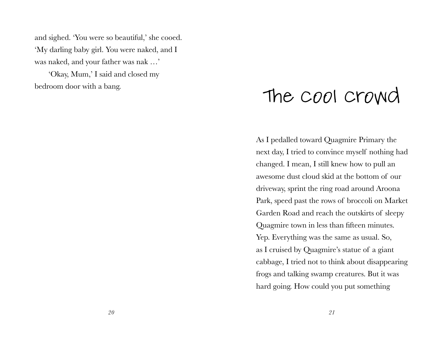and sighed. 'You were so beautiful,' she cooed. 'My darling baby girl. You were naked, and I was naked, and your father was nak …'

'Okay, Mum,' I said and closed my bedroom door with a bang.

## The Cool Crowd

As I pedalled toward Quagmire Primary the next day, I tried to convince myself nothing had changed. I mean, I still knew how to pull an awesome dust cloud skid at the bottom of our driveway, sprint the ring road around Aroona Park, speed past the rows of broccoli on Market Garden Road and reach the outskirts of sleepy Quagmire town in less than fifteen minutes. Yep. Everything was the same as usual. So, as I cruised by Quagmire's statue of a giant cabbage, I tried not to think about disappearing frogs and talking swamp creatures. But it was hard going. How could you put something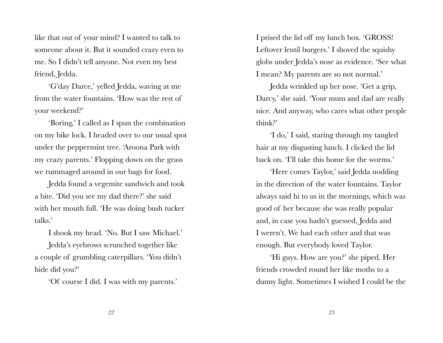like that out of your mind? I wanted to talk to someone about it. But it sounded crazy even to me. So I didn't tell anyone. Not even my best friend, Jedda.

'G'day Darce,' yelled Jedda, waving at me from the water fountains. 'How was the rest of your weekend?'

'Boring,' I called as I spun the combination on my bike lock. I headed over to our usual spot under the peppermint tree. 'Aroona Park with my crazy parents.' Flopping down on the grass we rummaged around in our bags for food.

Jedda found a vegemite sandwich and took a bite. 'Did you see my dad there?' she said with her mouth full. 'He was doing bush tucker talks.'

I shook my head. 'No. But I saw Michael.' Jedda's eyebrows scrunched together like a couple of grumbling caterpillars. 'You didn't hide did you?'

'Of course I did. I was with my parents.'

I prised the lid off my lunch box. 'GROSS! Leftover lentil burgers.' I shoved the squishy globs under Jedda's nose as evidence. 'See what I mean? My parents are so not normal.'

Jedda wrinkled up her nose. 'Get a grip, Darcy,' she said. 'Your mum and dad are really nice. And anyway, who cares what other people think?'

'I do,' I said, staring through my tangled hair at my disgusting lunch. I clicked the lid back on. 'I'll take this home for the worms.'

'Here comes Taylor,' said Jedda nodding in the direction of the water fountains. Taylor always said hi to us in the mornings, which was good of her because she was really popular and, in case you hadn't guessed, Jedda and I weren't. We had each other and that was enough. But everybody loved Taylor.

'Hi guys. How are you?' she piped. Her friends crowded round her like moths to a dunny light. Sometimes I wished I could be the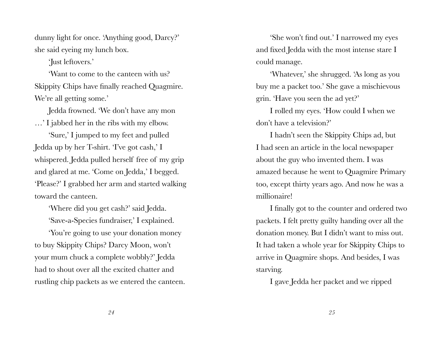dunny light for once. 'Anything good, Darcy?' she said eyeing my lunch box.

'Just leftovers.'

'Want to come to the canteen with us? Skippity Chips have finally reached Quagmire. We're all getting some.'

Jedda frowned. 'We don't have any mon  $\ldots$ <sup>'</sup> I jabbed her in the ribs with my elbow.

'Sure,' I jumped to my feet and pulled Jedda up by her T-shirt. Tve got cash,' I whispered. Jedda pulled herself free of my grip and glared at me. 'Come on Jedda,' I begged. 'Please?' I grabbed her arm and started walking toward the canteen.

'Where did you get cash?' said Jedda.

'Save-a-Species fundraiser,' I explained.

'You're going to use your donation money to buy Skippity Chips? Darcy Moon, won't your mum chuck a complete wobbly?' Jedda had to shout over all the excited chatter and rustling chip packets as we entered the canteen.

'She won't find out.' I narrowed my eyes and fixed Jedda with the most intense stare I could manage.

'Whatever,' she shrugged. 'As long as you buy me a packet too.' She gave a mischievous grin. 'Have you seen the ad yet?'

I rolled my eyes. 'How could I when we don't have a television?'

I hadn't seen the Skippity Chips ad, but I had seen an article in the local newspaper about the guy who invented them. I was amazed because he went to Quagmire Primary too, except thirty years ago. And now he was a millionaire!

I finally got to the counter and ordered two packets. I felt pretty guilty handing over all the donation money. But I didn't want to miss out. It had taken a whole year for Skippity Chips to arrive in Quagmire shops. And besides, I was starving.

I gave Jedda her packet and we ripped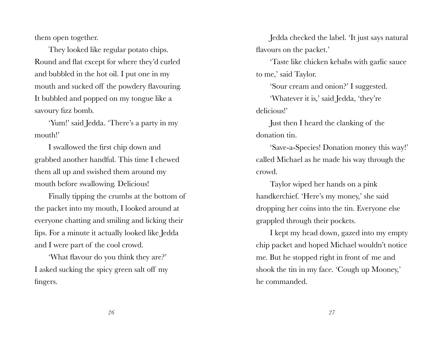them open together.

They looked like regular potato chips. Round and flat except for where they'd curled and bubbled in the hot oil. I put one in my mouth and sucked off the powdery flavouring. It bubbled and popped on my tongue like a savoury fizz bomb.

'Yum!' said Jedda. 'There's a party in my mouth!'

I swallowed the first chip down and grabbed another handful. This time I chewed them all up and swished them around my mouth before swallowing. Delicious!

Finally tipping the crumbs at the bottom of the packet into my mouth, I looked around at everyone chatting and smiling and licking their lips. For a minute it actually looked like Jedda and I were part of the cool crowd.

"What flavour do you think they are?" I asked sucking the spicy green salt off my fingers.

Jedda checked the label. The just says natural flavours on the packet.'

'Taste like chicken kebabs with garlic sauce to me,' said Taylor.

'Sour cream and onion?' I suggested.

'Whatever it is,' said Jedda, 'they're delicious!'

Just then I heard the clanking of the donation tin.

'Save-a-Species! Donation money this way!' called Michael as he made his way through the crowd.

Taylor wiped her hands on a pink handkerchief. 'Here's my money,' she said dropping her coins into the tin. Everyone else grappled through their pockets.

I kept my head down, gazed into my empty chip packet and hoped Michael wouldn't notice me. But he stopped right in front of me and shook the tin in my face. 'Cough up Mooney,' he commanded.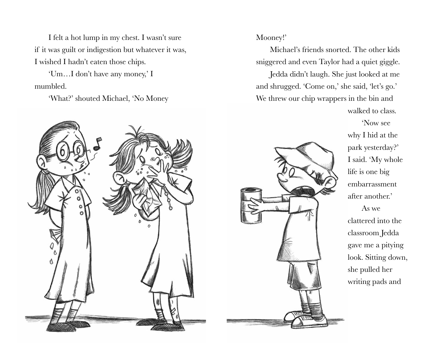I felt a hot lump in my chest. I wasn't sure if it was guilt or indigestion but whatever it was, I wished I hadn't eaten those chips.

'Um...I don't have any money,' I mumbled.

'What?' shouted Michael, 'No Money



## Mooney!'

Michael's friends snorted. The other kids sniggered and even Taylor had a quiet giggle.

Jedda didn't laugh. She just looked at me and shrugged. 'Come on,' she said, 'let's go.' We threw our chip wrappers in the bin and walked to class.



'Now see why I hid at the park yesterday?' I said. 'My whole life is one big embarrassment after another.' As we

clattered into the classroom Jedda gave me a pitying look. Sitting down, she pulled her writing pads and